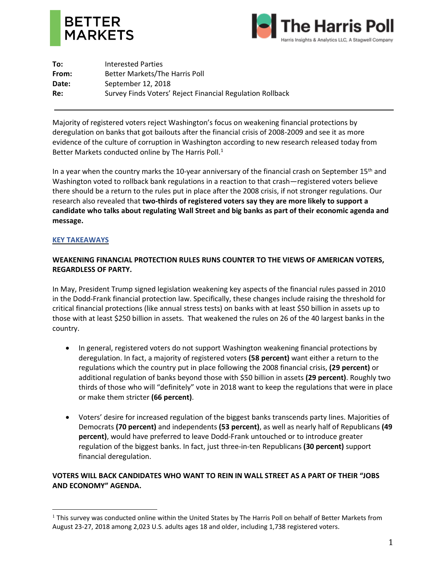



**To:** Interested Parties **From:** Better Markets/The Harris Poll Date: September 12, 2018 **Re:** Survey Finds Voters' Reject Financial Regulation Rollback

Majority of registered voters reject Washington's focus on weakening financial protections by deregulation on banks that got bailouts after the financial crisis of 2008-2009 and see it as more evidence of the culture of corruption in Washington according to new research released today from Better Markets conducted online by The Harris Poll.<sup>1</sup>

In a year when the country marks the 10-year anniversary of the financial crash on September 15<sup>th</sup> and Washington voted to rollback bank regulations in a reaction to that crash—registered voters believe there should be a return to the rules put in place after the 2008 crisis, if not stronger regulations. Our research also revealed that **two-thirds of registered voters say they are more likely to support a candidate who talks about regulating Wall Street and big banks as part of their economic agenda and message.**

## **KEY TAKEAWAYS**

 $\overline{a}$ 

## **WEAKENING FINANCIAL PROTECTION RULES RUNS COUNTER TO THE VIEWS OF AMERICAN VOTERS, REGARDLESS OF PARTY.**

In May, President Trump signed legislation weakening key aspects of the financial rules passed in 2010 in the Dodd-Frank financial protection law. Specifically, these changes include raising the threshold for critical financial protections (like annual stress tests) on banks with at least \$50 billion in assets up to those with at least \$250 billion in assets. That weakened the rules on 26 of the 40 largest banks in the country.

- In general, registered voters do not support Washington weakening financial protections by deregulation. In fact, a majority of registered voters **(58 percent)** want either a return to the regulations which the country put in place following the 2008 financial crisis, **(29 percent)** or additional regulation of banks beyond those with \$50 billion in assets **(29 percent)**. Roughly two thirds of those who will "definitely" vote in 2018 want to keep the regulations that were in place or make them stricter **(66 percent)**.
- Voters' desire for increased regulation of the biggest banks transcends party lines. Majorities of Democrats **(70 percent)** and independents **(53 percent)**, as well as nearly half of Republicans **(49 percent)**, would have preferred to leave Dodd-Frank untouched or to introduce greater regulation of the biggest banks. In fact, just three-in-ten Republicans **(30 percent)** support financial deregulation.

## **VOTERS WILL BACK CANDIDATES WHO WANT TO REIN IN WALL STREET AS A PART OF THEIR "JOBS AND ECONOMY" AGENDA.**

 $1$  This survey was conducted online within the United States by The Harris Poll on behalf of Better Markets from August 23-27, 2018 among 2,023 U.S. adults ages 18 and older, including 1,738 registered voters.